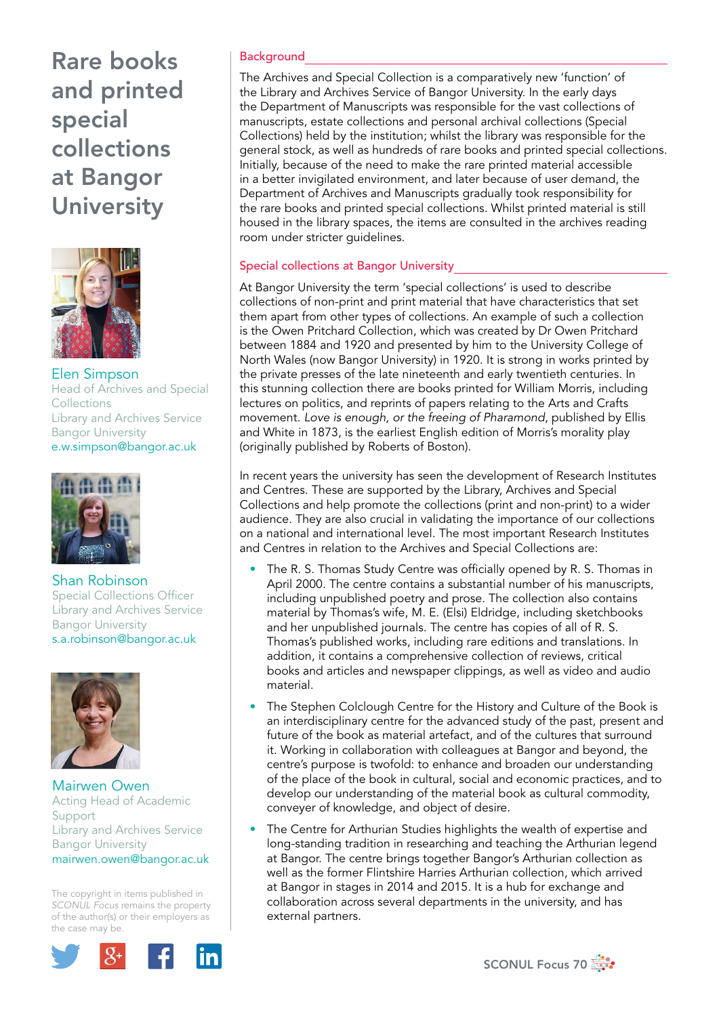# Rare books and printed special collections at Bangor **University**



Elen Simpson Head of Archives and Special Collections Library and Archives Service Bangor University e.w.simpson@bangor.ac.uk



Shan Robinson Special Collections Officer Library and Archives Service Bangor University s.a.robinson@bangor.ac.uk



Mairwen Owen Acting Head of Academic Support Library and Archives Service Bangor University mairwen.owen@bangor.ac.uk

The copyright in items published in *SCONUL Focus* remains the property of the author(s) or their employers as the case may be.



## **Background**

The Archives and Special Collection is a comparatively new 'function' of the Library and Archives Service of Bangor University. In the early days the Department of Manuscripts was responsible for the vast collections of manuscripts, estate collections and personal archival collections (Special Collections) held by the institution; whilst the library was responsible for the general stock, as well as hundreds of rare books and printed special collections. Initially, because of the need to make the rare printed material accessible in a better invigilated environment, and later because of user demand, the Department of Archives and Manuscripts gradually took responsibility for the rare books and printed special collections. Whilst printed material is still housed in the library spaces, the items are consulted in the archives reading room under stricter guidelines.

### Special collections at Bangor University

At Bangor University the term 'special collections' is used to describe collections of non-print and print material that have characteristics that set them apart from other types of collections. An example of such a collection is the Owen Pritchard Collection, which was created by Dr Owen Pritchard between 1884 and 1920 and presented by him to the University College of North Wales (now Bangor University) in 1920. It is strong in works printed by the private presses of the late nineteenth and early twentieth centuries. In this stunning collection there are books printed for William Morris, including lectures on politics, and reprints of papers relating to the Arts and Crafts movement. *Love is enough, or the freeing of Pharamond*, published by Ellis and White in 1873, is the earliest English edition of Morris's morality play (originally published by Roberts of Boston).

In recent years the university has seen the development of Research Institutes and Centres. These are supported by the Library, Archives and Special Collections and help promote the collections (print and non-print) to a wider audience. They are also crucial in validating the importance of our collections on a national and international level. The most important Research Institutes and Centres in relation to the Archives and Special Collections are:

- The R. S. Thomas Study Centre was officially opened by R. S. Thomas in April 2000. The centre contains a substantial number of his manuscripts, including unpublished poetry and prose. The collection also contains material by Thomas's wife, M. E. (Elsi) Eldridge, including sketchbooks and her unpublished journals. The centre has copies of all of R. S. Thomas's published works, including rare editions and translations. In addition, it contains a comprehensive collection of reviews, critical books and articles and newspaper clippings, as well as video and audio material.
- The Stephen Colclough Centre for the History and Culture of the Book is an interdisciplinary centre for the advanced study of the past, present and future of the book as material artefact, and of the cultures that surround it. Working in collaboration with colleagues at Bangor and beyond, the centre's purpose is twofold: to enhance and broaden our understanding of the place of the book in cultural, social and economic practices, and to develop our understanding of the material book as cultural commodity, conveyer of knowledge, and object of desire.
- The Centre for Arthurian Studies highlights the wealth of expertise and long-standing tradition in researching and teaching the Arthurian legend at Bangor. The centre brings together Bangor's Arthurian collection as well as the former Flintshire Harries Arthurian collection, which arrived at Bangor in stages in 2014 and 2015. It is a hub for exchange and collaboration across several departments in the university, and has external partners.

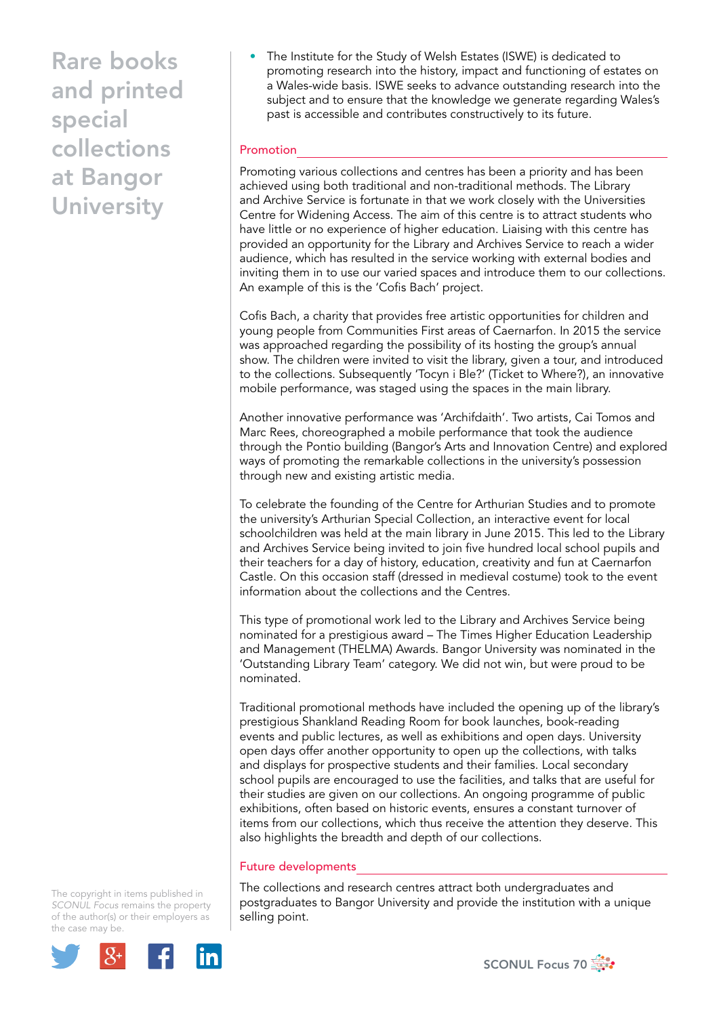Rare books and printed special collections at Bangor **University** 

• The Institute for the Study of Welsh Estates (ISWE) is dedicated to promoting research into the history, impact and functioning of estates on a Wales-wide basis. ISWE seeks to advance outstanding research into the subject and to ensure that the knowledge we generate regarding Wales's past is accessible and contributes constructively to its future.

### Promotion

Promoting various collections and centres has been a priority and has been achieved using both traditional and non-traditional methods. The Library and Archive Service is fortunate in that we work closely with the Universities Centre for Widening Access. The aim of this centre is to attract students who have little or no experience of higher education. Liaising with this centre has provided an opportunity for the Library and Archives Service to reach a wider audience, which has resulted in the service working with external bodies and inviting them in to use our varied spaces and introduce them to our collections. An example of this is the 'Cofis Bach' project.

Cofis Bach, a charity that provides free artistic opportunities for children and young people from Communities First areas of Caernarfon. In 2015 the service was approached regarding the possibility of its hosting the group's annual show. The children were invited to visit the library, given a tour, and introduced to the collections. Subsequently 'Tocyn i Ble?' (Ticket to Where?), an innovative mobile performance, was staged using the spaces in the main library.

Another innovative performance was 'Archifdaith'. Two artists, Cai Tomos and Marc Rees, choreographed a mobile performance that took the audience through the Pontio building (Bangor's Arts and Innovation Centre) and explored ways of promoting the remarkable collections in the university's possession through new and existing artistic media.

To celebrate the founding of the Centre for Arthurian Studies and to promote the university's Arthurian Special Collection, an interactive event for local schoolchildren was held at the main library in June 2015. This led to the Library and Archives Service being invited to join five hundred local school pupils and their teachers for a day of history, education, creativity and fun at Caernarfon Castle. On this occasion staff (dressed in medieval costume) took to the event information about the collections and the Centres.

This type of promotional work led to the Library and Archives Service being nominated for a prestigious award – The Times Higher Education Leadership and Management (THELMA) Awards. Bangor University was nominated in the 'Outstanding Library Team' category. We did not win, but were proud to be nominated.

Traditional promotional methods have included the opening up of the library's prestigious Shankland Reading Room for book launches, book-reading events and public lectures, as well as exhibitions and open days. University open days offer another opportunity to open up the collections, with talks and displays for prospective students and their families. Local secondary school pupils are encouraged to use the facilities, and talks that are useful for their studies are given on our collections. An ongoing programme of public exhibitions, often based on historic events, ensures a constant turnover of items from our collections, which thus receive the attention they deserve. This also highlights the breadth and depth of our collections.

#### Future developments

The collections and research centres attract both undergraduates and postgraduates to Bangor University and provide the institution with a unique selling point.

The copyright in items published in *SCONUL Focus* remains the property of the author(s) or their employers as the case may be.